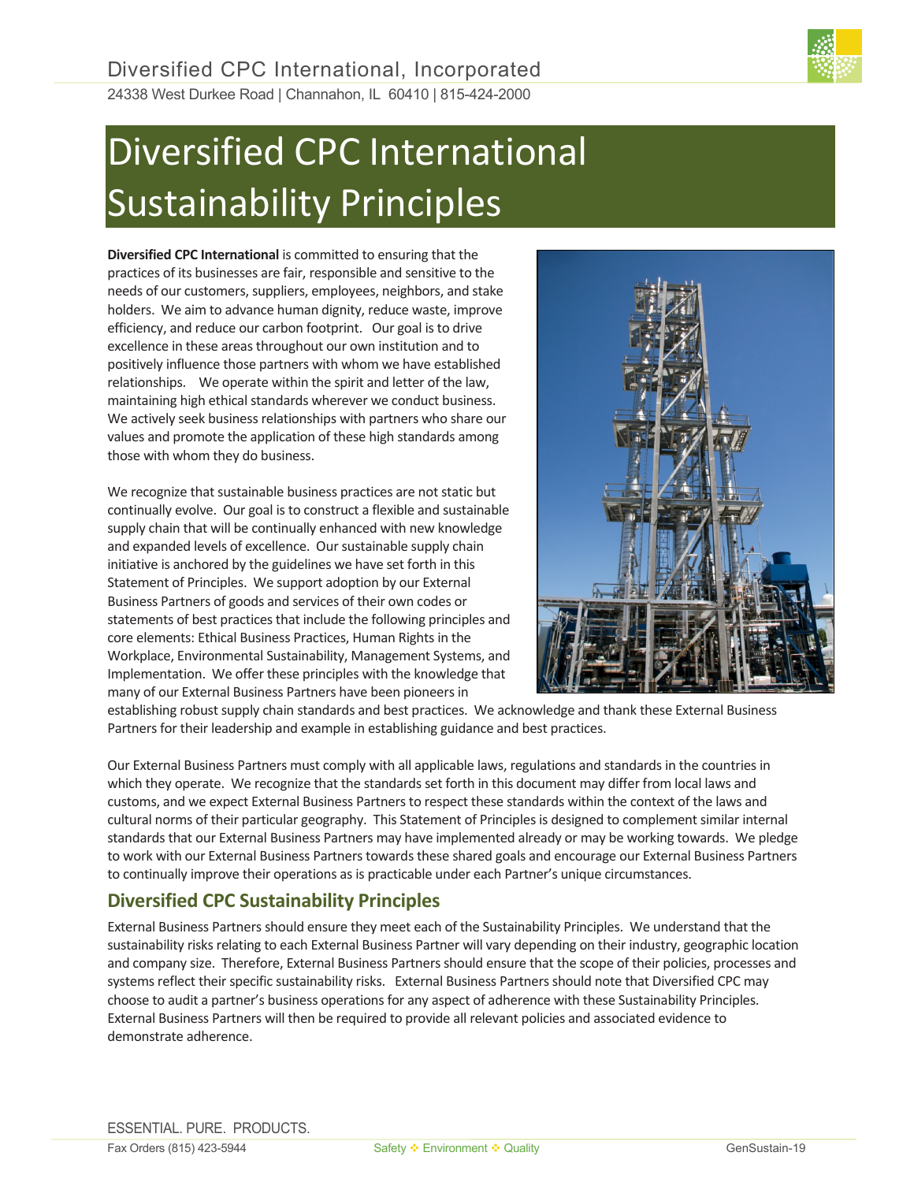# Diversified CPC International Sustainability Principles

**Diversified CPC International** is committed to ensuring that the practices of its businesses are fair, responsible and sensitive to the needs of our customers, suppliers, employees, neighbors, and stake holders. We aim to advance human dignity, reduce waste, improve efficiency, and reduce our carbon footprint. Our goal is to drive excellence in these areas throughout our own institution and to positively influence those partners with whom we have established relationships. We operate within the spirit and letter of the law, maintaining high ethical standards wherever we conduct business. We actively seek business relationships with partners who share our values and promote the application of these high standards among those with whom they do business.

We recognize that sustainable business practices are not static but continually evolve. Our goal is to construct a flexible and sustainable supply chain that will be continually enhanced with new knowledge and expanded levels of excellence. Our sustainable supply chain initiative is anchored by the guidelines we have set forth in this Statement of Principles. We support adoption by our External Business Partners of goods and services of their own codes or statements of best practices that include the following principles and core elements: Ethical Business Practices, Human Rights in the Workplace, Environmental Sustainability, Management Systems, and Implementation. We offer these principles with the knowledge that many of our External Business Partners have been pioneers in



establishing robust supply chain standards and best practices. We acknowledge and thank these External Business Partners for their leadership and example in establishing guidance and best practices.

Our External Business Partners must comply with all applicable laws, regulations and standards in the countries in which they operate. We recognize that the standards set forth in this document may differ from local laws and customs, and we expect External Business Partnersto respect these standards within the context of the laws and cultural norms of their particular geography. This Statement of Principles is designed to complement similar internal standards that our External Business Partners may have implemented already or may be working towards. We pledge to work with our External Business Partners towards these shared goals and encourage our External Business Partners to continually improve their operations as is practicable under each Partner's unique circumstances.

# **Diversified CPC Sustainability Principles**

External Business Partners should ensure they meet each of the Sustainability Principles. We understand that the sustainability risks relating to each External Business Partner will vary depending on their industry, geographic location and company size. Therefore, External Business Partners should ensure that the scope of their policies, processes and systems reflect their specific sustainability risks. External Business Partnersshould note that Diversified CPC may choose to audit a partner's business operations for any aspect of adherence with these Sustainability Principles. External Business Partners will then be required to provide all relevant policies and associated evidence to demonstrate adherence.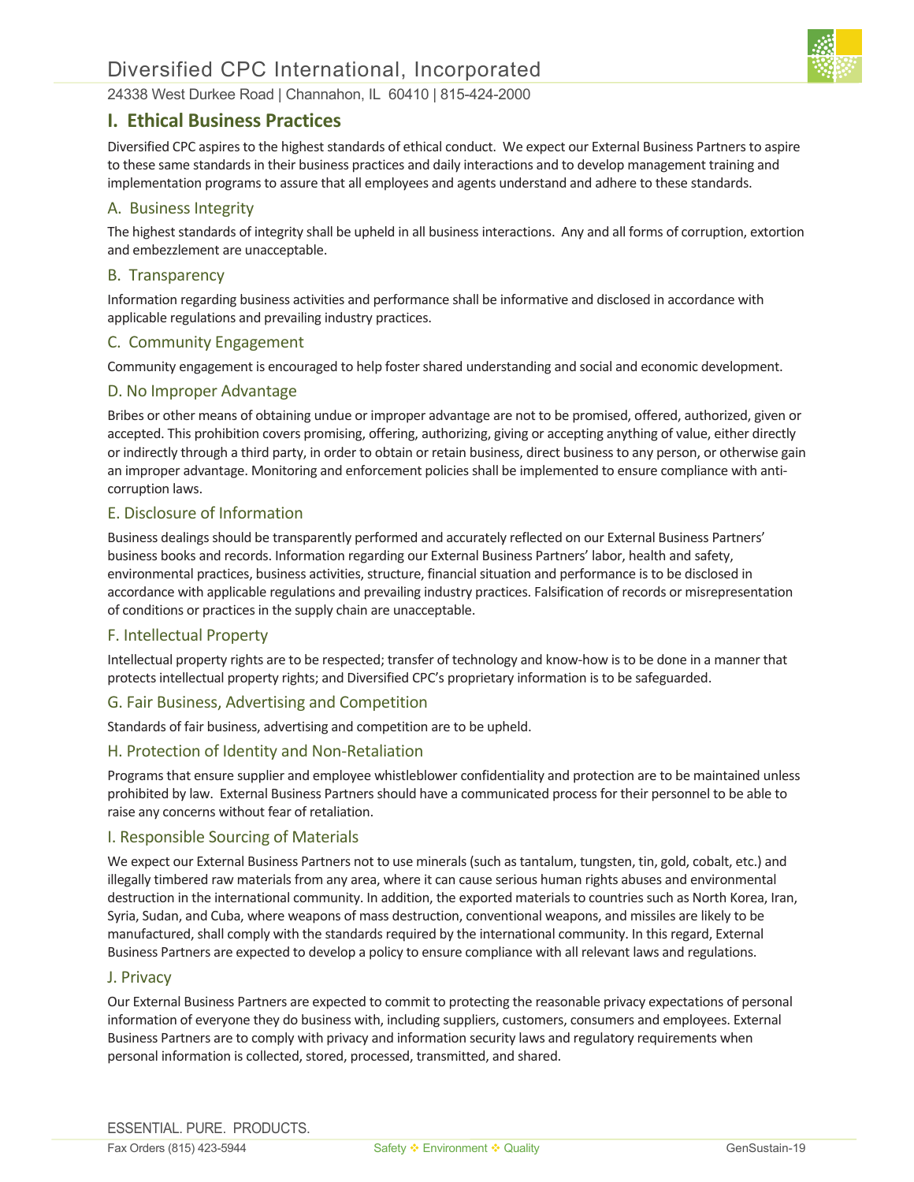

## **I. Ethical Business Practices**

Diversified CPC aspires to the highest standards of ethical conduct. We expect our External Business Partnersto aspire to these same standards in their business practices and daily interactions and to develop management training and implementation programs to assure that all employees and agents understand and adhere to these standards.

## A. Business Integrity

The highest standards of integrity shall be upheld in all business interactions. Any and all forms of corruption, extortion and embezzlement are unacceptable.

## B. Transparency

Information regarding business activities and performance shall be informative and disclosed in accordance with applicable regulations and prevailing industry practices.

#### C. Community Engagement

Community engagement is encouraged to help foster shared understanding and social and economic development.

#### D. No Improper Advantage

Bribes or other means of obtaining undue or improper advantage are not to be promised, offered, authorized, given or accepted. This prohibition covers promising, offering, authorizing, giving or accepting anything of value, either directly or indirectly through a third party, in order to obtain or retain business, direct business to any person, or otherwise gain an improper advantage. Monitoring and enforcement policiesshall be implemented to ensure compliance with anticorruption laws.

## E. Disclosure of Information

Business dealings should be transparently performed and accurately reflected on our External Business Partners' business books and records. Information regarding our External Business Partners' labor, health and safety, environmental practices, business activities, structure, financial situation and performance is to be disclosed in accordance with applicable regulations and prevailing industry practices. Falsification of records or misrepresentation of conditions or practices in the supply chain are unacceptable.

#### F. Intellectual Property

Intellectual property rights are to be respected; transfer of technology and know-how is to be done in a manner that protects intellectual property rights; and Diversified CPC's proprietary information is to be safeguarded.

## G. Fair Business, Advertising and Competition

Standards of fair business, advertising and competition are to be upheld.

## H. Protection of Identity and Non-Retaliation

Programs that ensure supplier and employee whistleblower confidentiality and protection are to be maintained unless prohibited by law. External Business Partners should have a communicated process for their personnel to be able to raise any concerns without fear of retaliation.

#### I. Responsible Sourcing of Materials

We expect our External Business Partners not to use minerals (such as tantalum, tungsten, tin, gold, cobalt, etc.) and illegally timbered raw materials from any area, where it can cause serious human rights abuses and environmental destruction in the international community. In addition, the exported materials to countries such as North Korea, Iran, Syria, Sudan, and Cuba, where weapons of mass destruction, conventional weapons, and missiles are likely to be manufactured, shall comply with the standards required by the international community. In this regard, External Business Partners are expected to develop a policy to ensure compliance with all relevant laws and regulations.

#### J. Privacy

Our External Business Partners are expected to commit to protecting the reasonable privacy expectations of personal information of everyone they do business with, including suppliers, customers, consumers and employees. External Business Partners are to comply with privacy and information security laws and regulatory requirements when personal information is collected, stored, processed, transmitted, and shared.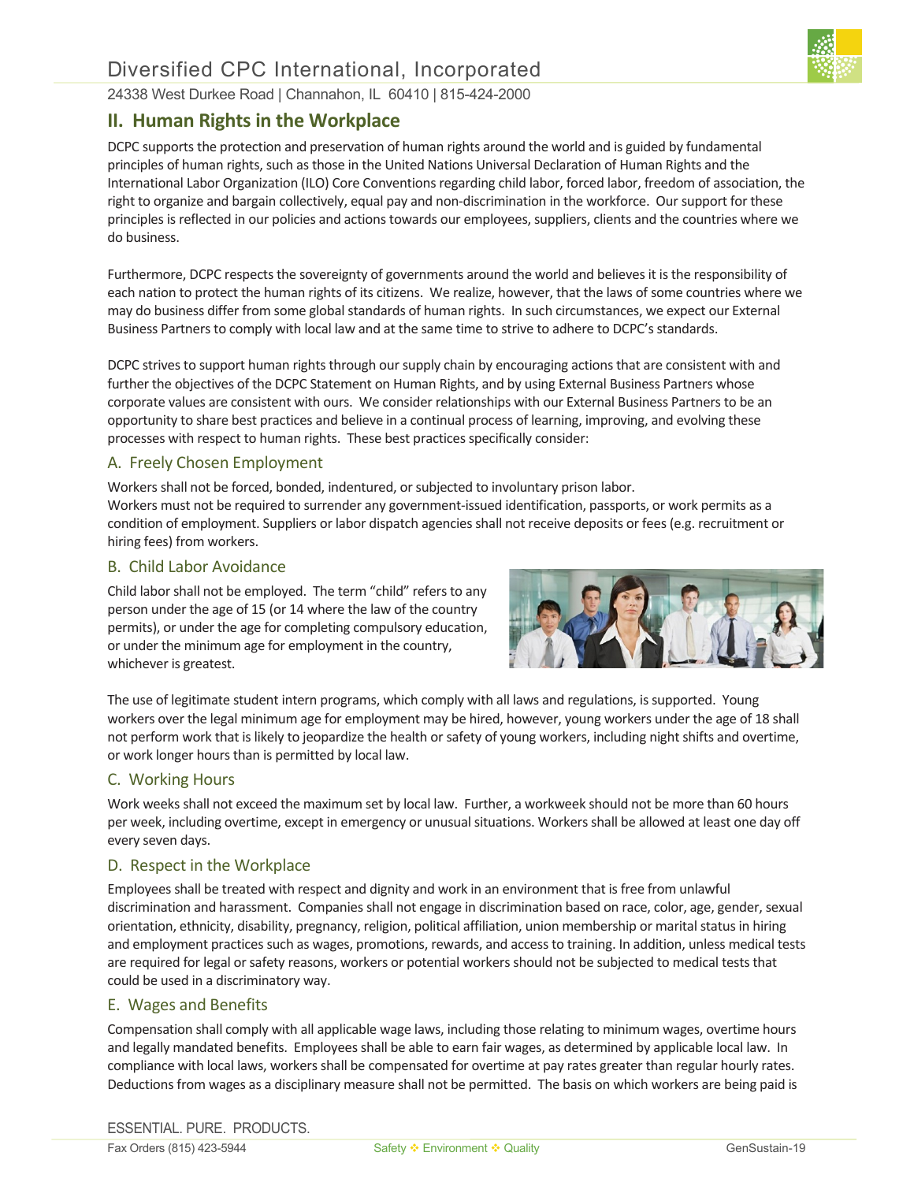

# **II. Human Rights in the Workplace**

DCPC supports the protection and preservation of human rights around the world and is guided by fundamental principles of human rights, such as those in the United Nations Universal Declaration of Human Rights and the International Labor Organization (ILO) Core Conventions regarding child labor, forced labor, freedom of association, the right to organize and bargain collectively, equal pay and non-discrimination in the workforce. Our support for these principles is reflected in our policies and actions towards our employees, suppliers, clients and the countries where we do business.

Furthermore, DCPC respects the sovereignty of governments around the world and believes it is the responsibility of each nation to protect the human rights of its citizens. We realize, however, that the laws of some countries where we may do business differ from some global standards of human rights. In such circumstances, we expect our External Business Partners to comply with local law and at the same time to strive to adhere to DCPC's standards.

DCPC strives to support human rights through our supply chain by encouraging actions that are consistent with and further the objectives of the DCPC Statement on Human Rights, and by using External Business Partners whose corporate values are consistent with ours. We consider relationships with our External Business Partnersto be an opportunity to share best practices and believe in a continual process of learning, improving, and evolving these processes with respect to human rights. These best practices specifically consider:

## A. Freely Chosen Employment

Workers shall not be forced, bonded, indentured, or subjected to involuntary prison labor. Workers must not be required to surrender any government-issued identification, passports, or work permits as a condition of employment. Suppliers or labor dispatch agencies shall not receive deposits or fees (e.g. recruitment or hiring fees) from workers.

## B. Child Labor Avoidance

Child labor shall not be employed. The term "child" refers to any person under the age of 15 (or 14 where the law of the country permits), or under the age for completing compulsory education, or under the minimum age for employment in the country, whichever is greatest.



The use of legitimate student intern programs, which comply with all laws and regulations, is supported. Young workers over the legal minimum age for employment may be hired, however, young workers under the age of 18 shall not perform work that is likely to jeopardize the health or safety of young workers, including night shifts and overtime, or work longer hours than is permitted by local law.

## C. Working Hours

Work weeks shall not exceed the maximum set by local law. Further, a workweek should not be more than 60 hours per week, including overtime, except in emergency or unusual situations. Workers shall be allowed at least one day off every seven days.

## D. Respect in the Workplace

Employees shall be treated with respect and dignity and work in an environment that is free from unlawful discrimination and harassment. Companies shall not engage in discrimination based on race, color, age, gender, sexual orientation, ethnicity, disability, pregnancy, religion, political affiliation, union membership or marital status in hiring and employment practices such as wages, promotions, rewards, and access to training. In addition, unless medical tests are required for legal or safety reasons, workers or potential workers should not be subjected to medical tests that could be used in a discriminatory way.

## E. Wages and Benefits

Compensation shall comply with all applicable wage laws, including those relating to minimum wages, overtime hours and legally mandated benefits. Employees shall be able to earn fair wages, as determined by applicable local law. In compliance with local laws, workers shall be compensated for overtime at pay rates greater than regular hourly rates. Deductions from wages as a disciplinary measure shall not be permitted. The basis on which workers are being paid is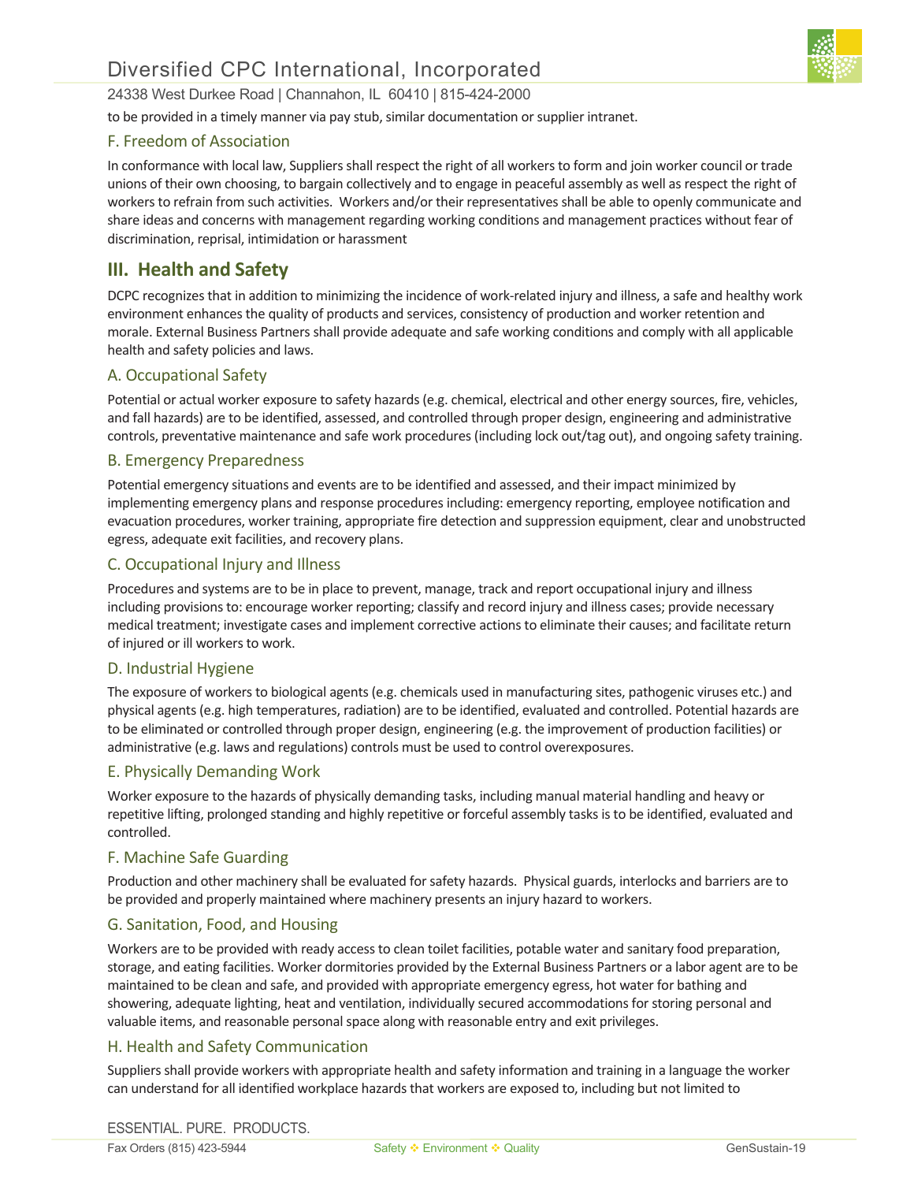

to be provided in a timely manner via pay stub, similar documentation or supplier intranet.

## F. Freedom of Association

In conformance with local law, Suppliers shall respect the right of all workers to form and join worker council or trade unions of their own choosing, to bargain collectively and to engage in peaceful assembly as well as respect the right of workers to refrain from such activities. Workers and/or their representatives shall be able to openly communicate and share ideas and concerns with management regarding working conditions and management practices without fear of discrimination, reprisal, intimidation or harassment

# **III. Health and Safety**

DCPC recognizesthat in addition to minimizing the incidence of work-related injury and illness, a safe and healthy work environment enhances the quality of products and services, consistency of production and worker retention and morale. External Business Partners shall provide adequate and safe working conditions and comply with all applicable health and safety policies and laws.

## A. Occupational Safety

Potential or actual worker exposure to safety hazards (e.g. chemical, electrical and other energy sources, fire, vehicles, and fall hazards) are to be identified, assessed, and controlled through proper design, engineering and administrative controls, preventative maintenance and safe work procedures (including lock out/tag out), and ongoing safety training.

## B. Emergency Preparedness

Potential emergency situations and events are to be identified and assessed, and their impact minimized by implementing emergency plans and response procedures including: emergency reporting, employee notification and evacuation procedures, worker training, appropriate fire detection and suppression equipment, clear and unobstructed egress, adequate exit facilities, and recovery plans.

## C. Occupational Injury and Illness

Procedures and systems are to be in place to prevent, manage, track and report occupational injury and illness including provisions to: encourage worker reporting; classify and record injury and illness cases; provide necessary medical treatment; investigate cases and implement corrective actions to eliminate their causes; and facilitate return of injured or ill workers to work.

## D. Industrial Hygiene

The exposure of workers to biological agents (e.g. chemicals used in manufacturing sites, pathogenic viruses etc.) and physical agents (e.g. high temperatures, radiation) are to be identified, evaluated and controlled. Potential hazards are to be eliminated or controlled through proper design, engineering (e.g. the improvement of production facilities) or administrative (e.g. laws and regulations) controls must be used to control overexposures.

## E. Physically Demanding Work

Worker exposure to the hazards of physically demanding tasks, including manual material handling and heavy or repetitive lifting, prolonged standing and highly repetitive or forceful assembly tasks is to be identified, evaluated and controlled.

## F. Machine Safe Guarding

Production and other machinery shall be evaluated for safety hazards. Physical guards, interlocks and barriers are to be provided and properly maintained where machinery presents an injury hazard to workers.

## G. Sanitation, Food, and Housing

Workers are to be provided with ready access to clean toilet facilities, potable water and sanitary food preparation, storage, and eating facilities. Worker dormitories provided by the External Business Partners or a labor agent are to be maintained to be clean and safe, and provided with appropriate emergency egress, hot water for bathing and showering, adequate lighting, heat and ventilation, individually secured accommodations for storing personal and valuable items, and reasonable personal space along with reasonable entry and exit privileges.

## H. Health and Safety Communication

Suppliers shall provide workers with appropriate health and safety information and training in a language the worker can understand for all identified workplace hazards that workers are exposed to, including but not limited to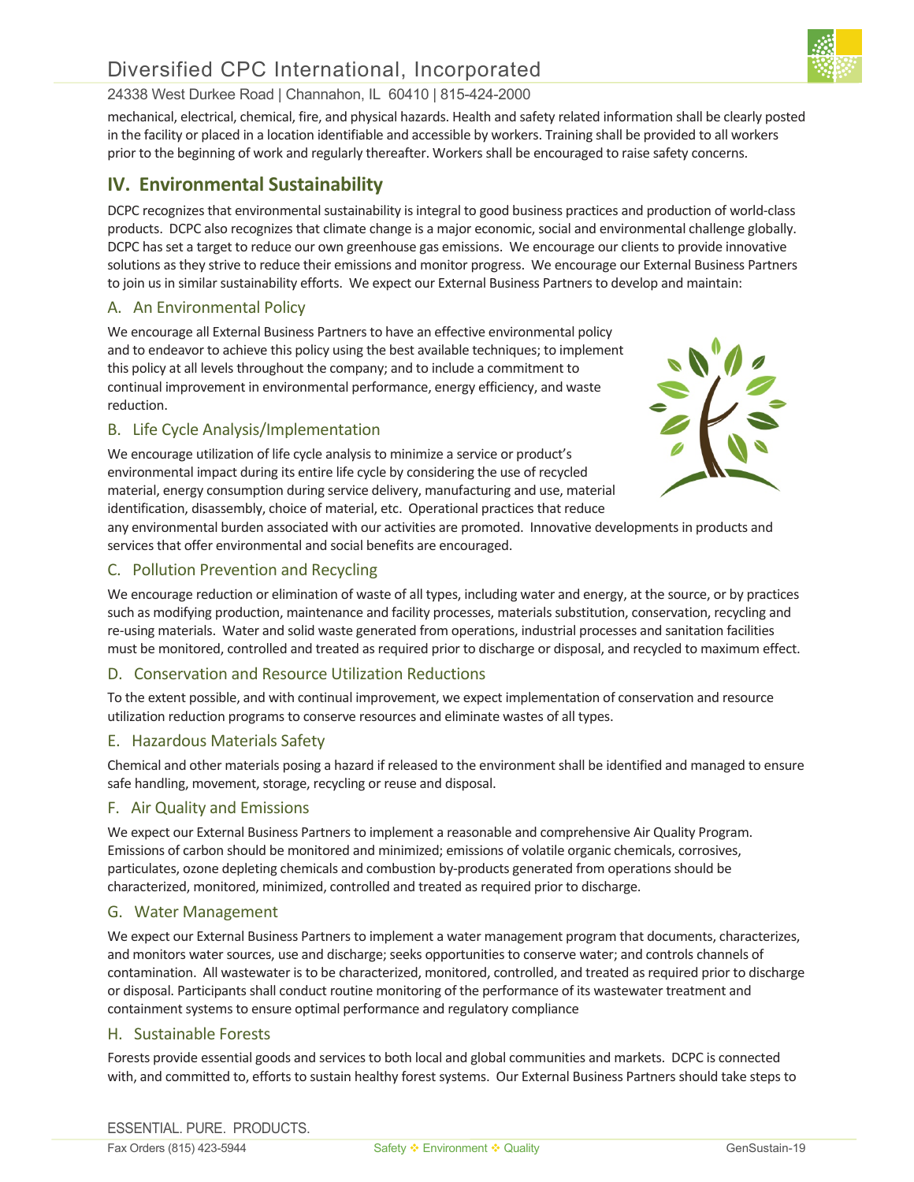# Diversified CPC International, Incorporated

## 24338 West Durkee Road | Channahon, IL 60410 | 815-424-2000

mechanical, electrical, chemical, fire, and physical hazards. Health and safety related information shall be clearly posted in the facility or placed in a location identifiable and accessible by workers. Training shall be provided to all workers prior to the beginning of work and regularly thereafter. Workers shall be encouraged to raise safety concerns.

# **IV. Environmental Sustainability**

DCPC recognizes that environmental sustainability is integral to good business practices and production of world-class products. DCPC also recognizes that climate change is a major economic, social and environmental challenge globally. DCPC has set a target to reduce our own greenhouse gas emissions. We encourage our clients to provide innovative solutions as they strive to reduce their emissions and monitor progress. We encourage our External Business Partners to join us in similar sustainability efforts. We expect our External Business Partners to develop and maintain:

## A. An Environmental Policy

We encourage all External Business Partners to have an effective environmental policy and to endeavor to achieve this policy using the best available techniques; to implement this policy at all levels throughout the company; and to include a commitment to continual improvement in environmental performance, energy efficiency, and waste reduction.

## B. Life Cycle Analysis/Implementation

We encourage utilization of life cycle analysis to minimize a service or product's environmental impact during its entire life cycle by considering the use of recycled material, energy consumption during service delivery, manufacturing and use, material identification, disassembly, choice of material, etc. Operational practices that reduce



any environmental burden associated with our activities are promoted. Innovative developments in products and services that offer environmental and social benefits are encouraged.

## C. Pollution Prevention and Recycling

We encourage reduction or elimination of waste of all types, including water and energy, at the source, or by practices such as modifying production, maintenance and facility processes, materials substitution, conservation, recycling and re-using materials. Water and solid waste generated from operations, industrial processes and sanitation facilities must be monitored, controlled and treated as required prior to discharge or disposal, and recycled to maximum effect.

## D. Conservation and Resource Utilization Reductions

To the extent possible, and with continual improvement, we expect implementation of conservation and resource utilization reduction programs to conserve resources and eliminate wastes of all types.

## E. Hazardous Materials Safety

Chemical and other materials posing a hazard if released to the environment shall be identified and managed to ensure safe handling, movement, storage, recycling or reuse and disposal.

## F. Air Quality and Emissions

We expect our External Business Partners to implement a reasonable and comprehensive Air Quality Program. Emissions of carbon should be monitored and minimized; emissions of volatile organic chemicals, corrosives, particulates, ozone depleting chemicals and combustion by-products generated from operations should be characterized, monitored, minimized, controlled and treated as required prior to discharge.

## G. Water Management

We expect our External Business Partners to implement a water management program that documents, characterizes, and monitors water sources, use and discharge; seeks opportunities to conserve water; and controls channels of contamination. All wastewater is to be characterized, monitored, controlled, and treated as required prior to discharge or disposal. Participants shall conduct routine monitoring of the performance of its wastewater treatment and containment systems to ensure optimal performance and regulatory compliance

## H. Sustainable Forests

Forests provide essential goods and services to both local and global communities and markets. DCPC is connected with, and committed to, efforts to sustain healthy forest systems. Our External Business Partners should take steps to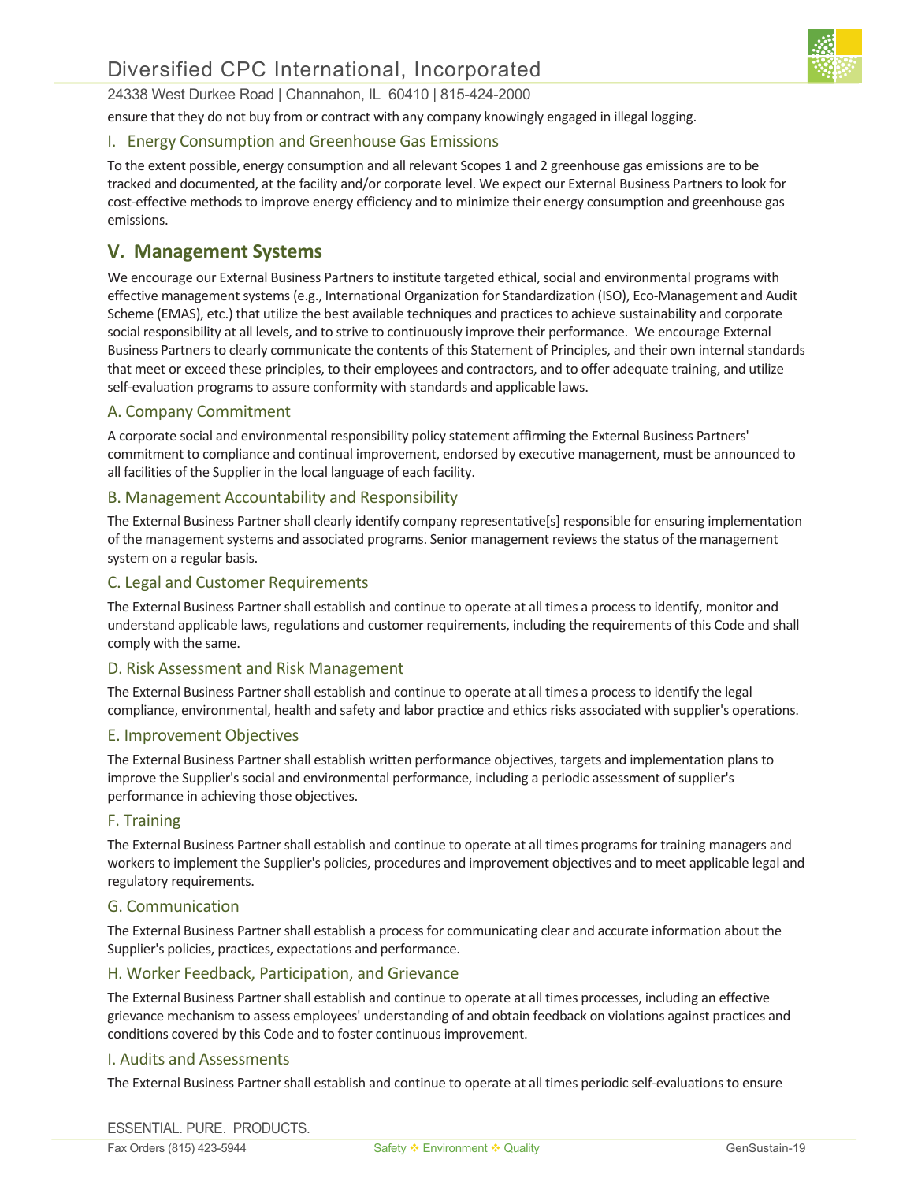

ensure that they do not buy from or contract with any company knowingly engaged in illegal logging.

## I. Energy Consumption and Greenhouse Gas Emissions

To the extent possible, energy consumption and all relevant Scopes 1 and 2 greenhouse gas emissions are to be tracked and documented, at the facility and/or corporate level. We expect our External Business Partners to look for cost-effective methods to improve energy efficiency and to minimize their energy consumption and greenhouse gas emissions.

# **V. Management Systems**

We encourage our External Business Partners to institute targeted ethical, social and environmental programs with effective management systems (e.g., International Organization for Standardization (ISO), Eco-Management and Audit Scheme (EMAS), etc.) that utilize the best available techniques and practices to achieve sustainability and corporate social responsibility at all levels, and to strive to continuously improve their performance. We encourage External Business Partners to clearly communicate the contents of this Statement of Principles, and their own internal standards that meet or exceed these principles, to their employees and contractors, and to offer adequate training, and utilize self-evaluation programs to assure conformity with standards and applicable laws.

## A. Company Commitment

A corporate social and environmental responsibility policy statement affirming the External Business Partners' commitment to compliance and continual improvement, endorsed by executive management, must be announced to all facilities of the Supplier in the local language of each facility.

## B. Management Accountability and Responsibility

The External Business Partner shall clearly identify company representative[s] responsible for ensuring implementation of the management systems and associated programs. Senior management reviews the status of the management system on a regular basis.

## C. Legal and Customer Requirements

The External Business Partner shall establish and continue to operate at all times a process to identify, monitor and understand applicable laws, regulations and customer requirements, including the requirements of this Code and shall comply with the same.

## D. Risk Assessment and Risk Management

The External Business Partner shall establish and continue to operate at all times a process to identify the legal compliance, environmental, health and safety and labor practice and ethics risks associated with supplier's operations.

#### E. Improvement Objectives

The External Business Partner shall establish written performance objectives, targets and implementation plans to improve the Supplier's social and environmental performance, including a periodic assessment of supplier's performance in achieving those objectives.

## F. Training

The External Business Partner shall establish and continue to operate at all times programs for training managers and workers to implement the Supplier's policies, procedures and improvement objectives and to meet applicable legal and regulatory requirements.

#### G. Communication

The External Business Partner shall establish a process for communicating clear and accurate information about the Supplier's policies, practices, expectations and performance.

## H. Worker Feedback, Participation, and Grievance

The External Business Partner shall establish and continue to operate at all times processes, including an effective grievance mechanism to assess employees' understanding of and obtain feedback on violations against practices and conditions covered by this Code and to foster continuous improvement.

## I. Audits and Assessments

The External Business Partner shall establish and continue to operate at all times periodic self-evaluations to ensure